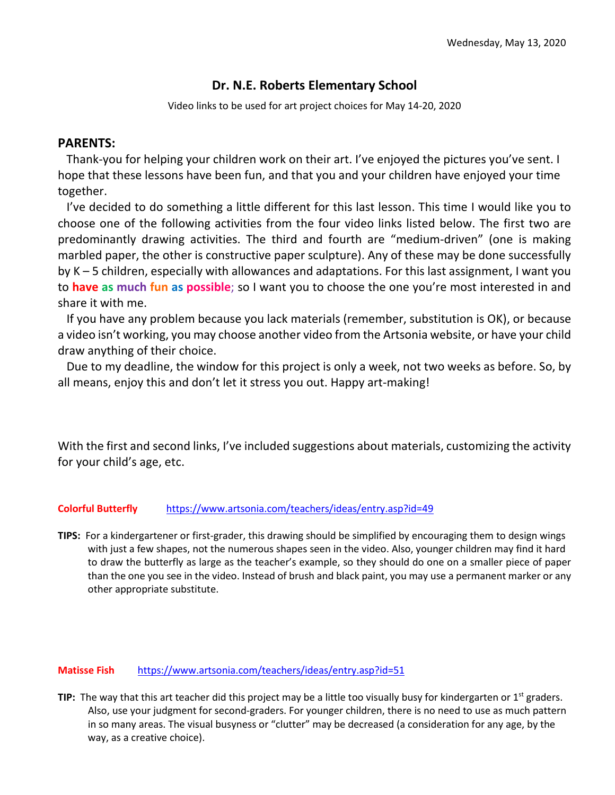## **Dr. N.E. Roberts Elementary School**

Video links to be used for art project choices for May 14-20, 2020

## **PARENTS:**

 Thank-you for helping your children work on their art. I've enjoyed the pictures you've sent. I hope that these lessons have been fun, and that you and your children have enjoyed your time together.

 I've decided to do something a little different for this last lesson. This time I would like you to choose one of the following activities from the four video links listed below. The first two are predominantly drawing activities. The third and fourth are "medium-driven" (one is making marbled paper, the other is constructive paper sculpture). Any of these may be done successfully by K – 5 children, especially with allowances and adaptations. For this last assignment, I want you to **have as much fun as possible**; so I want you to choose the one you're most interested in and share it with me.

 If you have any problem because you lack materials (remember, substitution is OK), or because a video isn't working, you may choose another video from the Artsonia website, or have your child draw anything of their choice.

 Due to my deadline, the window for this project is only a week, not two weeks as before. So, by all means, enjoy this and don't let it stress you out. Happy art-making!

With the first and second links, I've included suggestions about materials, customizing the activity for your child's age, etc.

## **Colorful Butterfly** <https://www.artsonia.com/teachers/ideas/entry.asp?id=49>

**TIPS:** For a kindergartener or first-grader, this drawing should be simplified by encouraging them to design wings with just a few shapes, not the numerous shapes seen in the video. Also, younger children may find it hard to draw the butterfly as large as the teacher's example, so they should do one on a smaller piece of paper than the one you see in the video. Instead of brush and black paint, you may use a permanent marker or any other appropriate substitute.

## **Matisse Fish** <https://www.artsonia.com/teachers/ideas/entry.asp?id=51>

**TIP:** The way that this art teacher did this project may be a little too visually busy for kindergarten or 1<sup>st</sup> graders. Also, use your judgment for second-graders. For younger children, there is no need to use as much pattern in so many areas. The visual busyness or "clutter" may be decreased (a consideration for any age, by the way, as a creative choice).